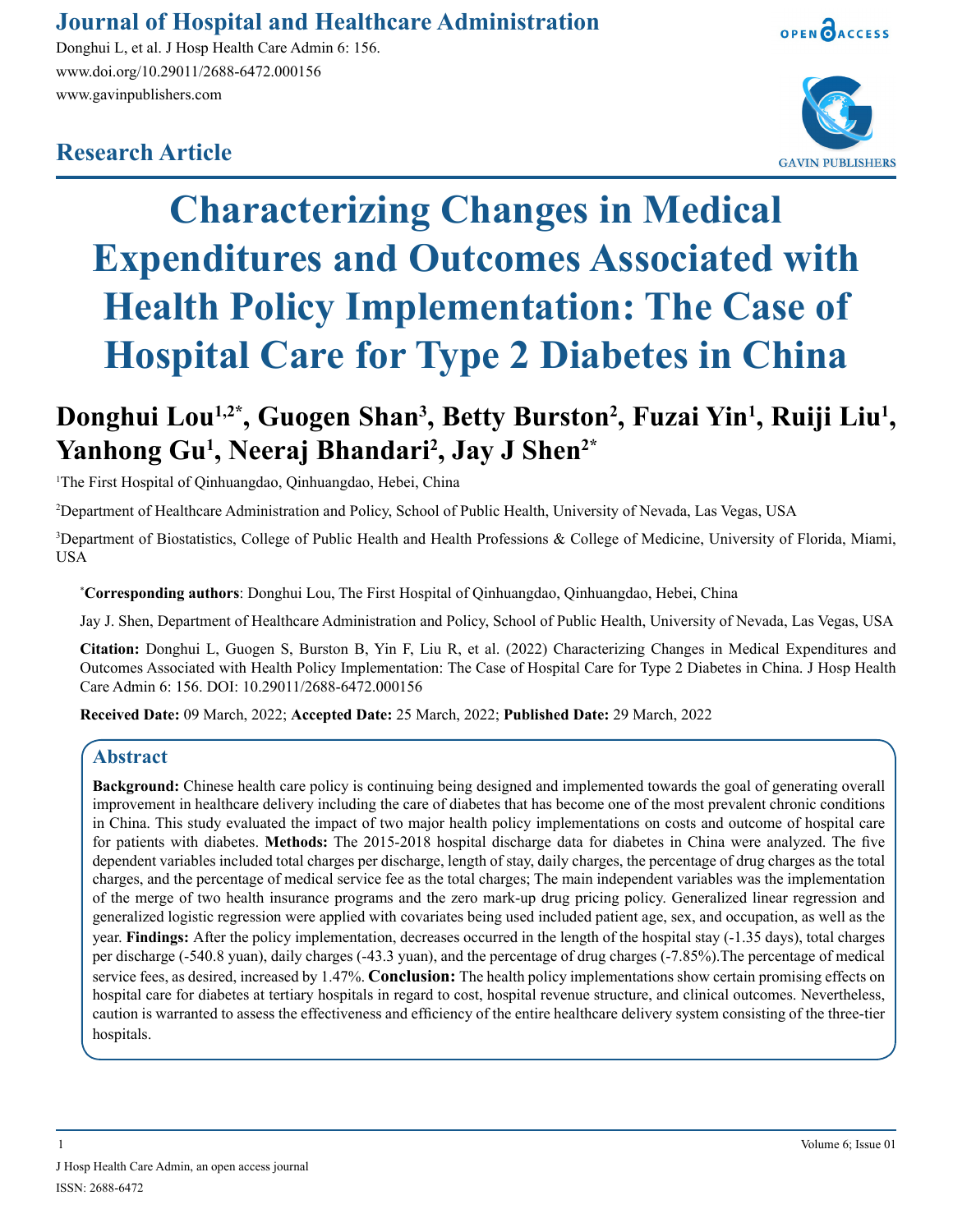# **Journal of Hospital and Healthcare Administration**

Donghui L, et al. J Hosp Health Care Admin 6: 156. www.doi.org/10.29011/2688-6472.000156 www.gavinpublishers.com







# **Characterizing Changes in Medical Expenditures and Outcomes Associated with Health Policy Implementation: The Case of Hospital Care for Type 2 Diabetes in China**

# Donghui Lou<sup>1,2\*</sup>, Guogen Shan<sup>3</sup>, Betty Burston<sup>2</sup>, Fuzai Yin<sup>1</sup>, Ruiji Liu<sup>1</sup>, **Yanhong Gu1 , Neeraj Bhandari2 , Jay J Shen2\***

1 The First Hospital of Qinhuangdao, Qinhuangdao, Hebei, China

2 Department of Healthcare Administration and Policy, School of Public Health, University of Nevada, Las Vegas, USA

3 Department of Biostatistics, College of Public Health and Health Professions & College of Medicine, University of Florida, Miami, USA

\* **Corresponding authors**: Donghui Lou, The First Hospital of Qinhuangdao, Qinhuangdao, Hebei, China

Jay J. Shen, Department of Healthcare Administration and Policy, School of Public Health, University of Nevada, Las Vegas, USA

**Citation:** Donghui L, Guogen S, Burston B, Yin F, Liu R, et al. (2022) Characterizing Changes in Medical Expenditures and Outcomes Associated with Health Policy Implementation: The Case of Hospital Care for Type 2 Diabetes in China. J Hosp Health Care Admin 6: 156. DOI: 10.29011/2688-6472.000156

**Received Date:** 09 March, 2022; **Accepted Date:** 25 March, 2022; **Published Date:** 29 March, 2022

#### **Abstract**

**Background:** Chinese health care policy is continuing being designed and implemented towards the goal of generating overall improvement in healthcare delivery including the care of diabetes that has become one of the most prevalent chronic conditions in China. This study evaluated the impact of two major health policy implementations on costs and outcome of hospital care for patients with diabetes. **Methods:** The 2015-2018 hospital discharge data for diabetes in China were analyzed. The five dependent variables included total charges per discharge, length of stay, daily charges, the percentage of drug charges as the total charges, and the percentage of medical service fee as the total charges; The main independent variables was the implementation of the merge of two health insurance programs and the zero mark-up drug pricing policy. Generalized linear regression and generalized logistic regression were applied with covariates being used included patient age, sex, and occupation, as well as the year. **Findings:** After the policy implementation, decreases occurred in the length of the hospital stay (-1.35 days), total charges per discharge (-540.8 yuan), daily charges (-43.3 yuan), and the percentage of drug charges (-7.85%).The percentage of medical service fees, as desired, increased by 1.47%. **Conclusion:** The health policy implementations show certain promising effects on hospital care for diabetes at tertiary hospitals in regard to cost, hospital revenue structure, and clinical outcomes. Nevertheless, caution is warranted to assess the effectiveness and efficiency of the entire healthcare delivery system consisting of the three-tier hospitals.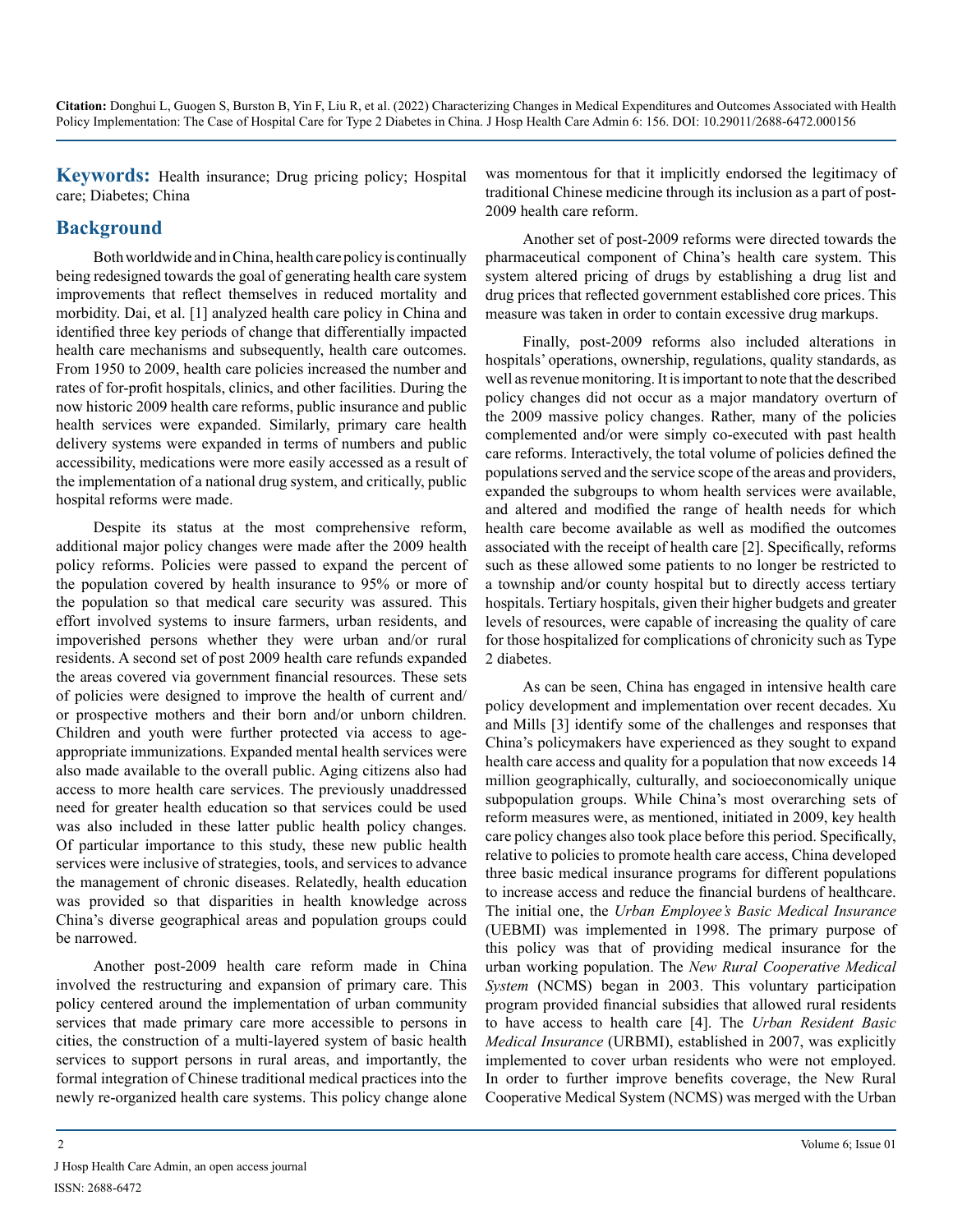**Keywords:** Health insurance; Drug pricing policy; Hospital care; Diabetes; China

# **Background**

Both worldwide and in China, health care policy is continually being redesigned towards the goal of generating health care system improvements that reflect themselves in reduced mortality and morbidity. Dai, et al. [1] analyzed health care policy in China and identified three key periods of change that differentially impacted health care mechanisms and subsequently, health care outcomes. From 1950 to 2009, health care policies increased the number and rates of for-profit hospitals, clinics, and other facilities. During the now historic 2009 health care reforms, public insurance and public health services were expanded. Similarly, primary care health delivery systems were expanded in terms of numbers and public accessibility, medications were more easily accessed as a result of the implementation of a national drug system, and critically, public hospital reforms were made.

Despite its status at the most comprehensive reform, additional major policy changes were made after the 2009 health policy reforms. Policies were passed to expand the percent of the population covered by health insurance to 95% or more of the population so that medical care security was assured. This effort involved systems to insure farmers, urban residents, and impoverished persons whether they were urban and/or rural residents. A second set of post 2009 health care refunds expanded the areas covered via government financial resources. These sets of policies were designed to improve the health of current and/ or prospective mothers and their born and/or unborn children. Children and youth were further protected via access to ageappropriate immunizations. Expanded mental health services were also made available to the overall public. Aging citizens also had access to more health care services. The previously unaddressed need for greater health education so that services could be used was also included in these latter public health policy changes. Of particular importance to this study, these new public health services were inclusive of strategies, tools, and services to advance the management of chronic diseases. Relatedly, health education was provided so that disparities in health knowledge across China's diverse geographical areas and population groups could be narrowed.

Another post-2009 health care reform made in China involved the restructuring and expansion of primary care. This policy centered around the implementation of urban community services that made primary care more accessible to persons in cities, the construction of a multi-layered system of basic health services to support persons in rural areas, and importantly, the formal integration of Chinese traditional medical practices into the newly re-organized health care systems. This policy change alone was momentous for that it implicitly endorsed the legitimacy of traditional Chinese medicine through its inclusion as a part of post-2009 health care reform.

Another set of post-2009 reforms were directed towards the pharmaceutical component of China's health care system. This system altered pricing of drugs by establishing a drug list and drug prices that reflected government established core prices. This measure was taken in order to contain excessive drug markups.

Finally, post-2009 reforms also included alterations in hospitals' operations, ownership, regulations, quality standards, as well as revenue monitoring. It is important to note that the described policy changes did not occur as a major mandatory overturn of the 2009 massive policy changes. Rather, many of the policies complemented and/or were simply co-executed with past health care reforms. Interactively, the total volume of policies defined the populations served and the service scope of the areas and providers, expanded the subgroups to whom health services were available, and altered and modified the range of health needs for which health care become available as well as modified the outcomes associated with the receipt of health care [2]. Specifically, reforms such as these allowed some patients to no longer be restricted to a township and/or county hospital but to directly access tertiary hospitals. Tertiary hospitals, given their higher budgets and greater levels of resources, were capable of increasing the quality of care for those hospitalized for complications of chronicity such as Type 2 diabetes.

As can be seen, China has engaged in intensive health care policy development and implementation over recent decades. Xu and Mills [3] identify some of the challenges and responses that China's policymakers have experienced as they sought to expand health care access and quality for a population that now exceeds 14 million geographically, culturally, and socioeconomically unique subpopulation groups. While China's most overarching sets of reform measures were, as mentioned, initiated in 2009, key health care policy changes also took place before this period. Specifically, relative to policies to promote health care access, China developed three basic medical insurance programs for different populations to increase access and reduce the financial burdens of healthcare. The initial one, the *Urban Employee's Basic Medical Insurance* (UEBMI) was implemented in 1998. The primary purpose of this policy was that of providing medical insurance for the urban working population. The *New Rural Cooperative Medical System* (NCMS) began in 2003. This voluntary participation program provided financial subsidies that allowed rural residents to have access to health care [4]. The *Urban Resident Basic Medical Insurance* (URBMI), established in 2007, was explicitly implemented to cover urban residents who were not employed. In order to further improve benefits coverage, the New Rural Cooperative Medical System (NCMS) was merged with the Urban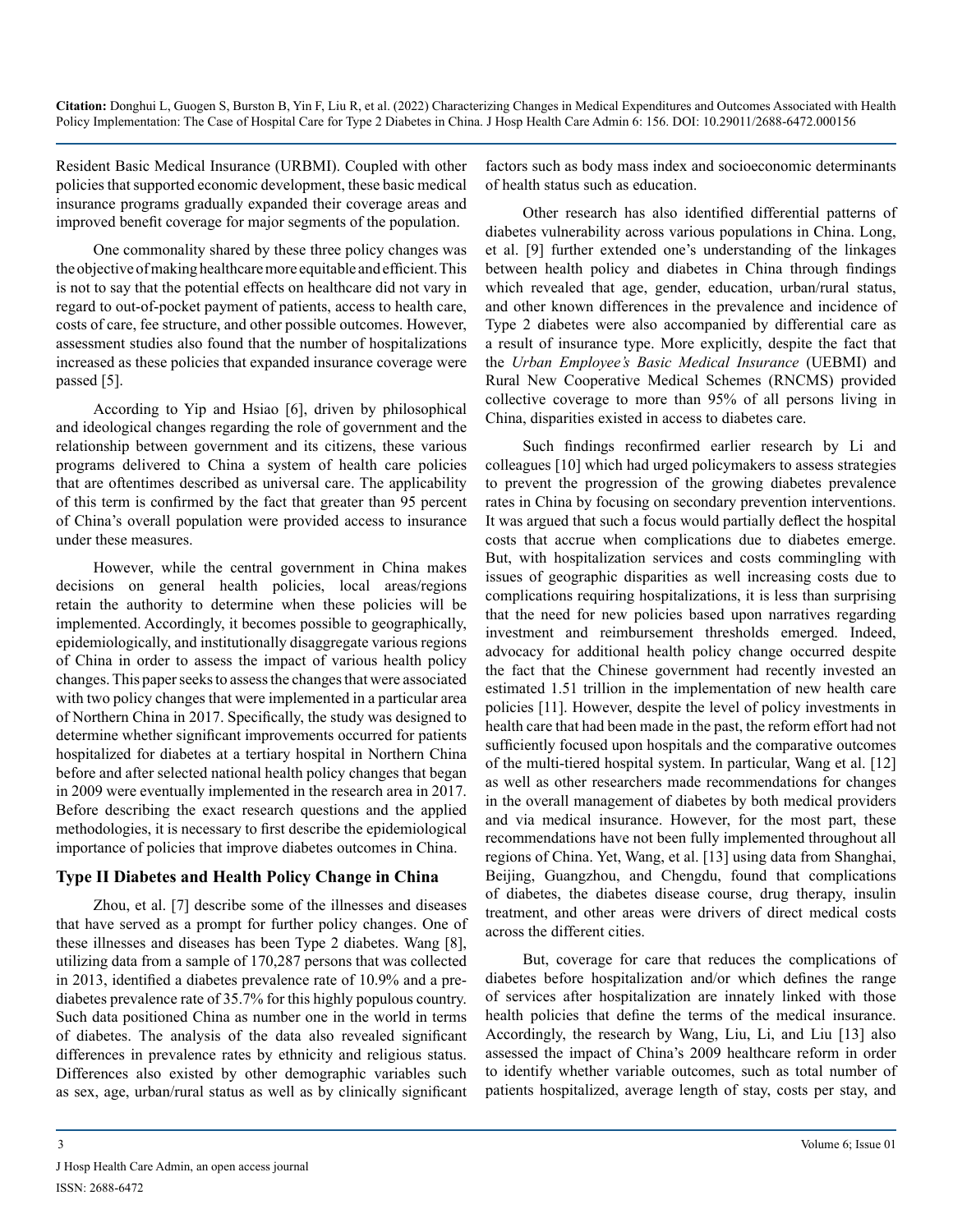Resident Basic Medical Insurance (URBMI). Coupled with other policies that supported economic development, these basic medical insurance programs gradually expanded their coverage areas and improved benefit coverage for major segments of the population.

One commonality shared by these three policy changes was the objective of making healthcare more equitable and efficient. This is not to say that the potential effects on healthcare did not vary in regard to out-of-pocket payment of patients, access to health care, costs of care, fee structure, and other possible outcomes. However, assessment studies also found that the number of hospitalizations increased as these policies that expanded insurance coverage were passed [5].

According to Yip and Hsiao [6], driven by philosophical and ideological changes regarding the role of government and the relationship between government and its citizens, these various programs delivered to China a system of health care policies that are oftentimes described as universal care. The applicability of this term is confirmed by the fact that greater than 95 percent of China's overall population were provided access to insurance under these measures.

However, while the central government in China makes decisions on general health policies, local areas/regions retain the authority to determine when these policies will be implemented. Accordingly, it becomes possible to geographically, epidemiologically, and institutionally disaggregate various regions of China in order to assess the impact of various health policy changes. This paper seeks to assess the changes that were associated with two policy changes that were implemented in a particular area of Northern China in 2017. Specifically, the study was designed to determine whether significant improvements occurred for patients hospitalized for diabetes at a tertiary hospital in Northern China before and after selected national health policy changes that began in 2009 were eventually implemented in the research area in 2017. Before describing the exact research questions and the applied methodologies, it is necessary to first describe the epidemiological importance of policies that improve diabetes outcomes in China.

# **Type II Diabetes and Health Policy Change in China**

Zhou, et al. [7] describe some of the illnesses and diseases that have served as a prompt for further policy changes. One of these illnesses and diseases has been Type 2 diabetes. Wang [8], utilizing data from a sample of 170,287 persons that was collected in 2013, identified a diabetes prevalence rate of 10.9% and a prediabetes prevalence rate of 35.7% for this highly populous country. Such data positioned China as number one in the world in terms of diabetes. The analysis of the data also revealed significant differences in prevalence rates by ethnicity and religious status. Differences also existed by other demographic variables such as sex, age, urban/rural status as well as by clinically significant

factors such as body mass index and socioeconomic determinants of health status such as education.

Other research has also identified differential patterns of diabetes vulnerability across various populations in China. Long, et al. [9] further extended one's understanding of the linkages between health policy and diabetes in China through findings which revealed that age, gender, education, urban/rural status, and other known differences in the prevalence and incidence of Type 2 diabetes were also accompanied by differential care as a result of insurance type. More explicitly, despite the fact that the *Urban Employee's Basic Medical Insurance* (UEBMI) and Rural New Cooperative Medical Schemes (RNCMS) provided collective coverage to more than 95% of all persons living in China, disparities existed in access to diabetes care.

Such findings reconfirmed earlier research by Li and colleagues [10] which had urged policymakers to assess strategies to prevent the progression of the growing diabetes prevalence rates in China by focusing on secondary prevention interventions. It was argued that such a focus would partially deflect the hospital costs that accrue when complications due to diabetes emerge. But, with hospitalization services and costs commingling with issues of geographic disparities as well increasing costs due to complications requiring hospitalizations, it is less than surprising that the need for new policies based upon narratives regarding investment and reimbursement thresholds emerged. Indeed, advocacy for additional health policy change occurred despite the fact that the Chinese government had recently invested an estimated 1.51 trillion in the implementation of new health care policies [11]. However, despite the level of policy investments in health care that had been made in the past, the reform effort had not sufficiently focused upon hospitals and the comparative outcomes of the multi-tiered hospital system. In particular, Wang et al. [12] as well as other researchers made recommendations for changes in the overall management of diabetes by both medical providers and via medical insurance. However, for the most part, these recommendations have not been fully implemented throughout all regions of China. Yet, Wang, et al. [13] using data from Shanghai, Beijing, Guangzhou, and Chengdu, found that complications of diabetes, the diabetes disease course, drug therapy, insulin treatment, and other areas were drivers of direct medical costs across the different cities.

But, coverage for care that reduces the complications of diabetes before hospitalization and/or which defines the range of services after hospitalization are innately linked with those health policies that define the terms of the medical insurance. Accordingly, the research by Wang, Liu, Li, and Liu [13] also assessed the impact of China's 2009 healthcare reform in order to identify whether variable outcomes, such as total number of patients hospitalized, average length of stay, costs per stay, and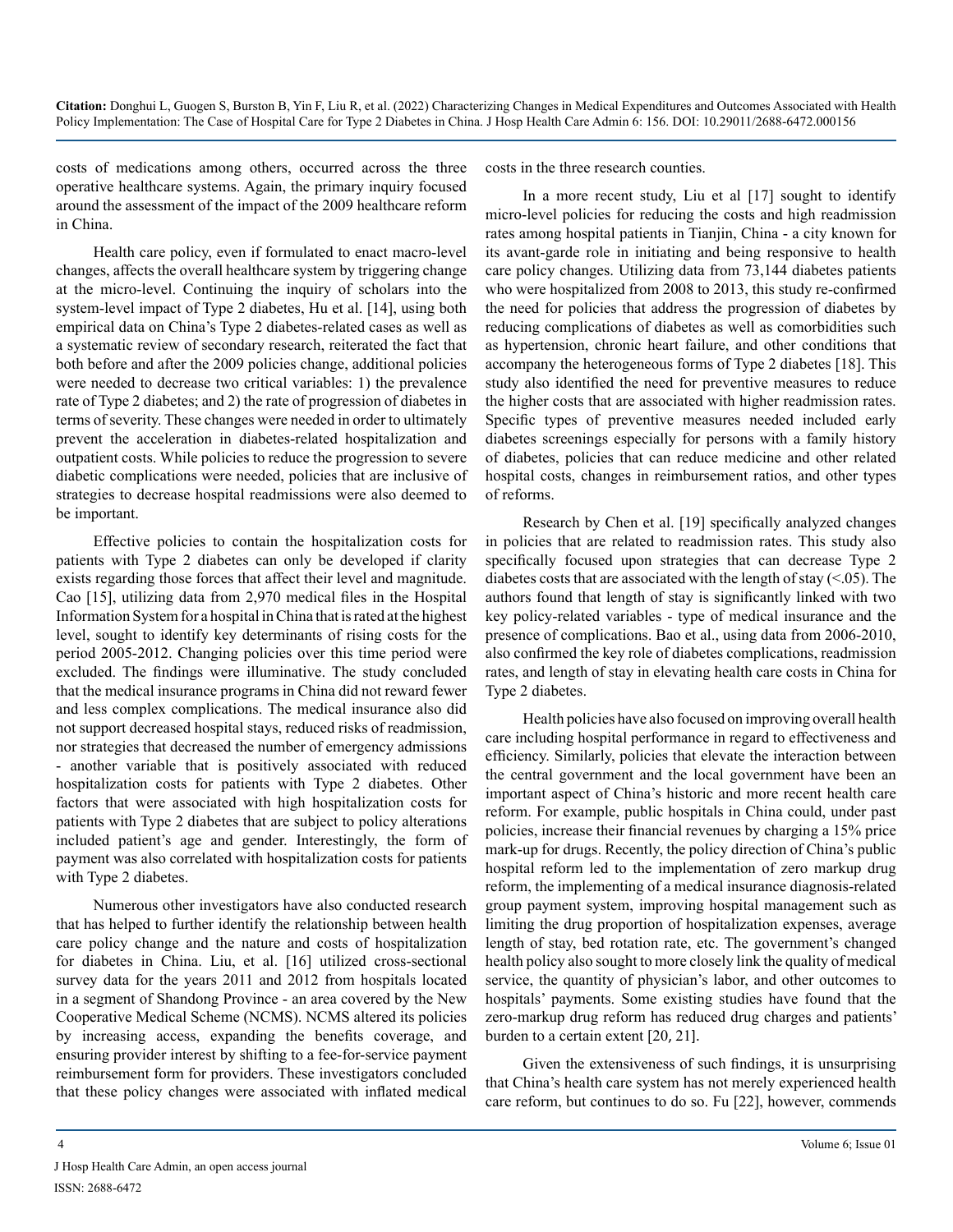costs of medications among others, occurred across the three operative healthcare systems. Again, the primary inquiry focused around the assessment of the impact of the 2009 healthcare reform in China.

Health care policy, even if formulated to enact macro-level changes, affects the overall healthcare system by triggering change at the micro-level. Continuing the inquiry of scholars into the system-level impact of Type 2 diabetes, Hu et al. [14], using both empirical data on China's Type 2 diabetes-related cases as well as a systematic review of secondary research, reiterated the fact that both before and after the 2009 policies change, additional policies were needed to decrease two critical variables: 1) the prevalence rate of Type 2 diabetes; and 2) the rate of progression of diabetes in terms of severity. These changes were needed in order to ultimately prevent the acceleration in diabetes-related hospitalization and outpatient costs. While policies to reduce the progression to severe diabetic complications were needed, policies that are inclusive of strategies to decrease hospital readmissions were also deemed to be important.

Effective policies to contain the hospitalization costs for patients with Type 2 diabetes can only be developed if clarity exists regarding those forces that affect their level and magnitude. Cao [15], utilizing data from 2,970 medical files in the Hospital Information System for a hospital in China that is rated at the highest level, sought to identify key determinants of rising costs for the period 2005-2012. Changing policies over this time period were excluded. The findings were illuminative. The study concluded that the medical insurance programs in China did not reward fewer and less complex complications. The medical insurance also did not support decreased hospital stays, reduced risks of readmission, nor strategies that decreased the number of emergency admissions - another variable that is positively associated with reduced hospitalization costs for patients with Type 2 diabetes. Other factors that were associated with high hospitalization costs for patients with Type 2 diabetes that are subject to policy alterations included patient's age and gender. Interestingly, the form of payment was also correlated with hospitalization costs for patients with Type 2 diabetes.

Numerous other investigators have also conducted research that has helped to further identify the relationship between health care policy change and the nature and costs of hospitalization for diabetes in China. Liu, et al. [16] utilized cross-sectional survey data for the years 2011 and 2012 from hospitals located in a segment of Shandong Province - an area covered by the New Cooperative Medical Scheme (NCMS). NCMS altered its policies by increasing access, expanding the benefits coverage, and ensuring provider interest by shifting to a fee-for-service payment reimbursement form for providers. These investigators concluded that these policy changes were associated with inflated medical

costs in the three research counties.

In a more recent study, Liu et al [17] sought to identify micro-level policies for reducing the costs and high readmission rates among hospital patients in Tianjin, China - a city known for its avant-garde role in initiating and being responsive to health care policy changes. Utilizing data from 73,144 diabetes patients who were hospitalized from 2008 to 2013, this study re-confirmed the need for policies that address the progression of diabetes by reducing complications of diabetes as well as comorbidities such as hypertension, chronic heart failure, and other conditions that accompany the heterogeneous forms of Type 2 diabetes [18]. This study also identified the need for preventive measures to reduce the higher costs that are associated with higher readmission rates. Specific types of preventive measures needed included early diabetes screenings especially for persons with a family history of diabetes, policies that can reduce medicine and other related hospital costs, changes in reimbursement ratios, and other types of reforms.

Research by Chen et al. [19] specifically analyzed changes in policies that are related to readmission rates. This study also specifically focused upon strategies that can decrease Type 2 diabetes costs that are associated with the length of stay  $(< 0.05$ ). The authors found that length of stay is significantly linked with two key policy-related variables - type of medical insurance and the presence of complications. Bao et al., using data from 2006-2010, also confirmed the key role of diabetes complications, readmission rates, and length of stay in elevating health care costs in China for Type 2 diabetes.

Health policies have also focused on improving overall health care including hospital performance in regard to effectiveness and efficiency. Similarly, policies that elevate the interaction between the central government and the local government have been an important aspect of China's historic and more recent health care reform. For example, public hospitals in China could, under past policies, increase their financial revenues by charging a 15% price mark-up for drugs. Recently, the policy direction of China's public hospital reform led to the implementation of zero markup drug reform, the implementing of a medical insurance diagnosis-related group payment system, improving hospital management such as limiting the drug proportion of hospitalization expenses, average length of stay, bed rotation rate, etc. The government's changed health policy also sought to more closely link the quality of medical service, the quantity of physician's labor, and other outcomes to hospitals' payments. Some existing studies have found that the zero-markup drug reform has reduced drug charges and patients' burden to a certain extent [20, 21].

Given the extensiveness of such findings, it is unsurprising that China's health care system has not merely experienced health care reform, but continues to do so. Fu [22], however, commends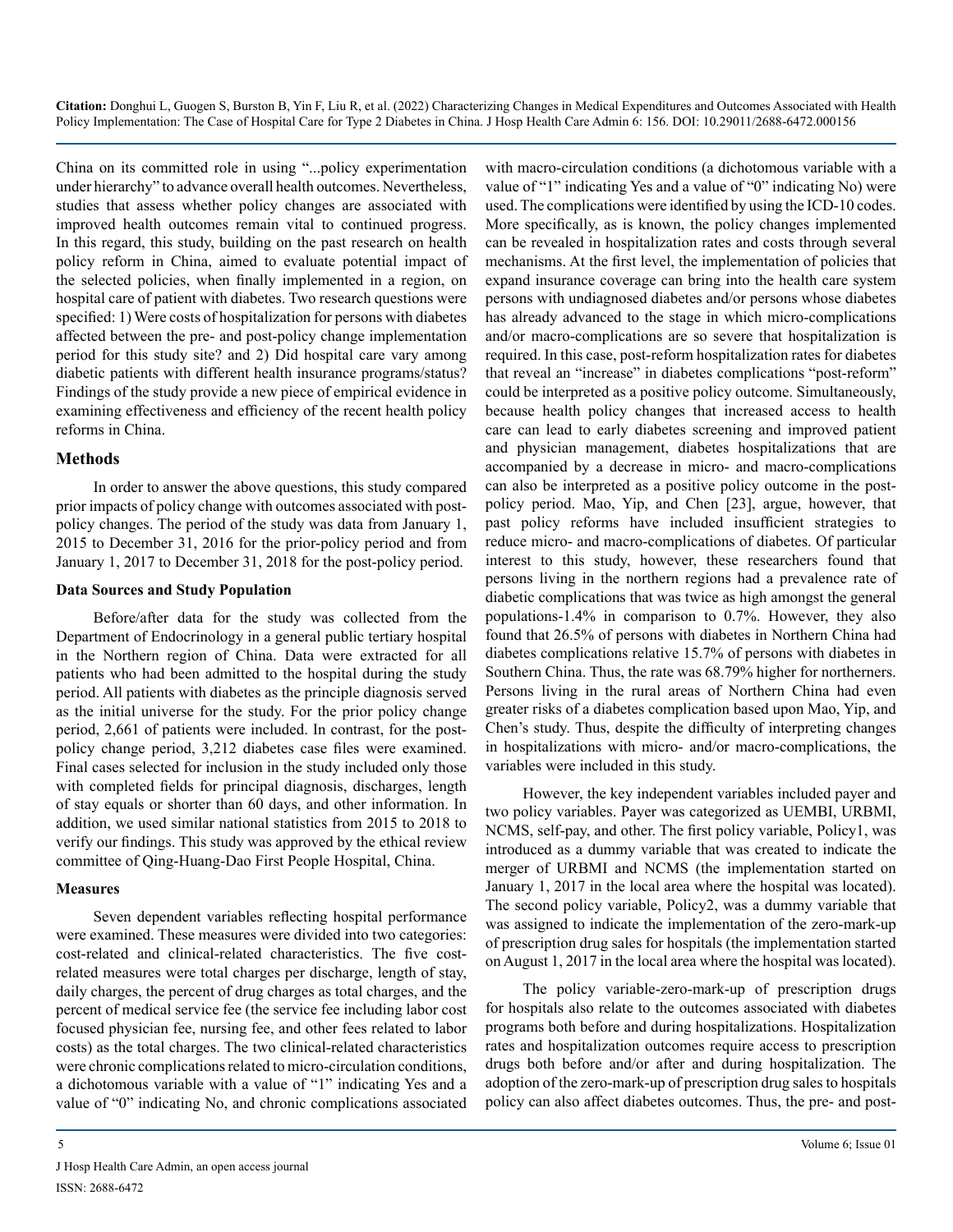China on its committed role in using "...policy experimentation under hierarchy" to advance overall health outcomes. Nevertheless, studies that assess whether policy changes are associated with improved health outcomes remain vital to continued progress. In this regard, this study, building on the past research on health policy reform in China, aimed to evaluate potential impact of the selected policies, when finally implemented in a region, on hospital care of patient with diabetes. Two research questions were specified: 1) Were costs of hospitalization for persons with diabetes affected between the pre- and post-policy change implementation period for this study site? and 2) Did hospital care vary among diabetic patients with different health insurance programs/status? Findings of the study provide a new piece of empirical evidence in examining effectiveness and efficiency of the recent health policy reforms in China.

#### **Methods**

In order to answer the above questions, this study compared prior impacts of policy change with outcomes associated with postpolicy changes. The period of the study was data from January 1, 2015 to December 31, 2016 for the prior-policy period and from January 1, 2017 to December 31, 2018 for the post-policy period.

#### **Data Sources and Study Population**

Before/after data for the study was collected from the Department of Endocrinology in a general public tertiary hospital in the Northern region of China. Data were extracted for all patients who had been admitted to the hospital during the study period. All patients with diabetes as the principle diagnosis served as the initial universe for the study. For the prior policy change period, 2,661 of patients were included. In contrast, for the postpolicy change period, 3,212 diabetes case files were examined. Final cases selected for inclusion in the study included only those with completed fields for principal diagnosis, discharges, length of stay equals or shorter than 60 days, and other information. In addition, we used similar national statistics from 2015 to 2018 to verify our findings. This study was approved by the ethical review committee of Qing-Huang-Dao First People Hospital, China.

#### **Measures**

Seven dependent variables reflecting hospital performance were examined. These measures were divided into two categories: cost-related and clinical-related characteristics. The five costrelated measures were total charges per discharge, length of stay, daily charges, the percent of drug charges as total charges, and the percent of medical service fee (the service fee including labor cost focused physician fee, nursing fee, and other fees related to labor costs) as the total charges. The two clinical-related characteristics were chronic complications related to micro-circulation conditions, a dichotomous variable with a value of "1" indicating Yes and a value of "0" indicating No, and chronic complications associated

with macro-circulation conditions (a dichotomous variable with a value of "1" indicating Yes and a value of "0" indicating No) were used. The complications were identified by using the ICD-10 codes. More specifically, as is known, the policy changes implemented can be revealed in hospitalization rates and costs through several mechanisms. At the first level, the implementation of policies that expand insurance coverage can bring into the health care system persons with undiagnosed diabetes and/or persons whose diabetes has already advanced to the stage in which micro-complications and/or macro-complications are so severe that hospitalization is required. In this case, post-reform hospitalization rates for diabetes that reveal an "increase" in diabetes complications "post-reform" could be interpreted as a positive policy outcome. Simultaneously, because health policy changes that increased access to health care can lead to early diabetes screening and improved patient and physician management, diabetes hospitalizations that are accompanied by a decrease in micro- and macro-complications can also be interpreted as a positive policy outcome in the postpolicy period. Mao, Yip, and Chen [23], argue, however, that past policy reforms have included insufficient strategies to reduce micro- and macro-complications of diabetes. Of particular interest to this study, however, these researchers found that persons living in the northern regions had a prevalence rate of diabetic complications that was twice as high amongst the general populations-1.4% in comparison to 0.7%. However, they also found that 26.5% of persons with diabetes in Northern China had diabetes complications relative 15.7% of persons with diabetes in Southern China. Thus, the rate was 68.79% higher for northerners. Persons living in the rural areas of Northern China had even greater risks of a diabetes complication based upon Mao, Yip, and Chen's study. Thus, despite the difficulty of interpreting changes in hospitalizations with micro- and/or macro-complications, the variables were included in this study.

However, the key independent variables included payer and two policy variables. Payer was categorized as UEMBI, URBMI, NCMS, self-pay, and other. The first policy variable, Policy1, was introduced as a dummy variable that was created to indicate the merger of URBMI and NCMS (the implementation started on January 1, 2017 in the local area where the hospital was located). The second policy variable, Policy2, was a dummy variable that was assigned to indicate the implementation of the zero-mark-up of prescription drug sales for hospitals (the implementation started on August 1, 2017 in the local area where the hospital was located).

The policy variable-zero-mark-up of prescription drugs for hospitals also relate to the outcomes associated with diabetes programs both before and during hospitalizations. Hospitalization rates and hospitalization outcomes require access to prescription drugs both before and/or after and during hospitalization. The adoption of the zero-mark-up of prescription drug sales to hospitals policy can also affect diabetes outcomes. Thus, the pre- and post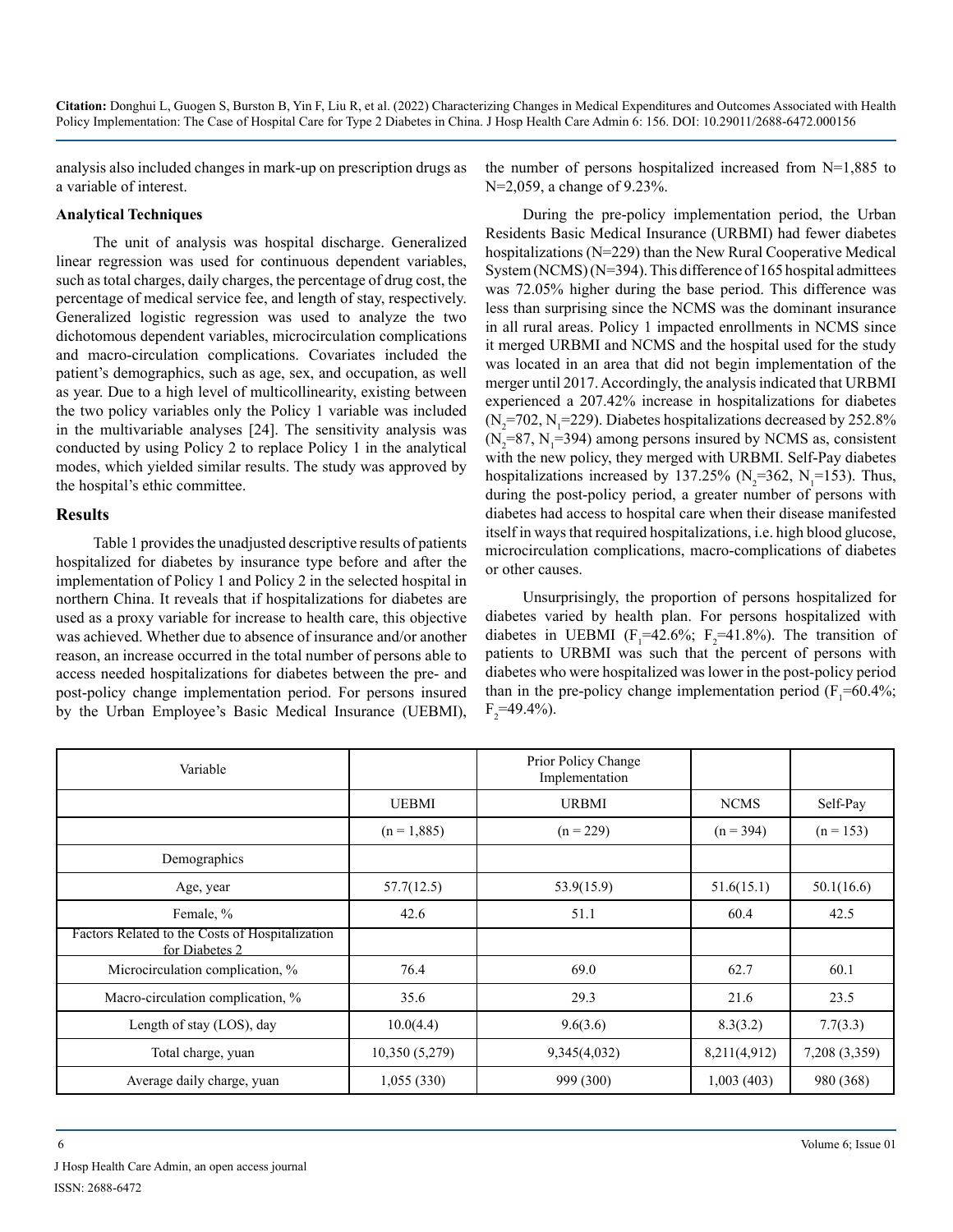analysis also included changes in mark-up on prescription drugs as a variable of interest.

#### **Analytical Techniques**

The unit of analysis was hospital discharge. Generalized linear regression was used for continuous dependent variables, such as total charges, daily charges, the percentage of drug cost, the percentage of medical service fee, and length of stay, respectively. Generalized logistic regression was used to analyze the two dichotomous dependent variables, microcirculation complications and macro-circulation complications. Covariates included the patient's demographics, such as age, sex, and occupation, as well as year. Due to a high level of multicollinearity, existing between the two policy variables only the Policy 1 variable was included in the multivariable analyses [24]. The sensitivity analysis was conducted by using Policy 2 to replace Policy 1 in the analytical modes, which yielded similar results. The study was approved by the hospital's ethic committee.

#### **Results**

Table 1 provides the unadjusted descriptive results of patients hospitalized for diabetes by insurance type before and after the implementation of Policy 1 and Policy 2 in the selected hospital in northern China. It reveals that if hospitalizations for diabetes are used as a proxy variable for increase to health care, this objective was achieved. Whether due to absence of insurance and/or another reason, an increase occurred in the total number of persons able to access needed hospitalizations for diabetes between the pre- and post-policy change implementation period. For persons insured by the Urban Employee's Basic Medical Insurance (UEBMI),

the number of persons hospitalized increased from N=1,885 to N=2,059, a change of 9.23%.

During the pre-policy implementation period, the Urban Residents Basic Medical Insurance (URBMI) had fewer diabetes hospitalizations (N=229) than the New Rural Cooperative Medical System (NCMS) (N=394). This difference of 165 hospital admittees was 72.05% higher during the base period. This difference was less than surprising since the NCMS was the dominant insurance in all rural areas. Policy 1 impacted enrollments in NCMS since it merged URBMI and NCMS and the hospital used for the study was located in an area that did not begin implementation of the merger until 2017. Accordingly, the analysis indicated that URBMI experienced a 207.42% increase in hospitalizations for diabetes  $(N_2=702, N_1=229)$ . Diabetes hospitalizations decreased by 252.8%  $(N_2=87, N_1=394)$  among persons insured by NCMS as, consistent with the new policy, they merged with URBMI. Self-Pay diabetes hospitalizations increased by 137.25% ( $N_2$ =362,  $N_1$ =153). Thus, during the post-policy period, a greater number of persons with diabetes had access to hospital care when their disease manifested itself in ways that required hospitalizations, i.e. high blood glucose, microcirculation complications, macro-complications of diabetes or other causes.

Unsurprisingly, the proportion of persons hospitalized for diabetes varied by health plan. For persons hospitalized with diabetes in UEBMI ( $F_1$ =42.6%;  $F_2$ =41.8%). The transition of patients to URBMI was such that the percent of persons with diabetes who were hospitalized was lower in the post-policy period than in the pre-policy change implementation period  $(F_1=60.4\%;$  $F_2$ =49.4%).

| Variable                                                          |               | Prior Policy Change<br>Implementation |              |               |
|-------------------------------------------------------------------|---------------|---------------------------------------|--------------|---------------|
|                                                                   | UEBMI         | <b>URBMI</b>                          | <b>NCMS</b>  | Self-Pay      |
|                                                                   | $(n = 1,885)$ | $(n = 229)$                           | $(n = 394)$  | $(n = 153)$   |
| Demographics                                                      |               |                                       |              |               |
| Age, year                                                         | 57.7(12.5)    | 53.9(15.9)                            | 51.6(15.1)   | 50.1(16.6)    |
| Female, %                                                         | 42.6          | 51.1                                  | 60.4         | 42.5          |
| Factors Related to the Costs of Hospitalization<br>for Diabetes 2 |               |                                       |              |               |
| Microcirculation complication, %                                  | 76.4          | 69.0                                  | 62.7         | 60.1          |
| Macro-circulation complication, %                                 | 35.6          | 29.3                                  | 21.6         | 23.5          |
| Length of stay (LOS), day                                         | 10.0(4.4)     | 9.6(3.6)                              | 8.3(3.2)     | 7.7(3.3)      |
| Total charge, yuan                                                | 10,350(5,279) | 9,345(4,032)                          | 8,211(4,912) | 7,208 (3,359) |
| Average daily charge, yuan                                        | 1,055(330)    | 999 (300)                             | 1,003(403)   | 980 (368)     |

J Hosp Health Care Admin, an open access journal ISSN: 2688-6472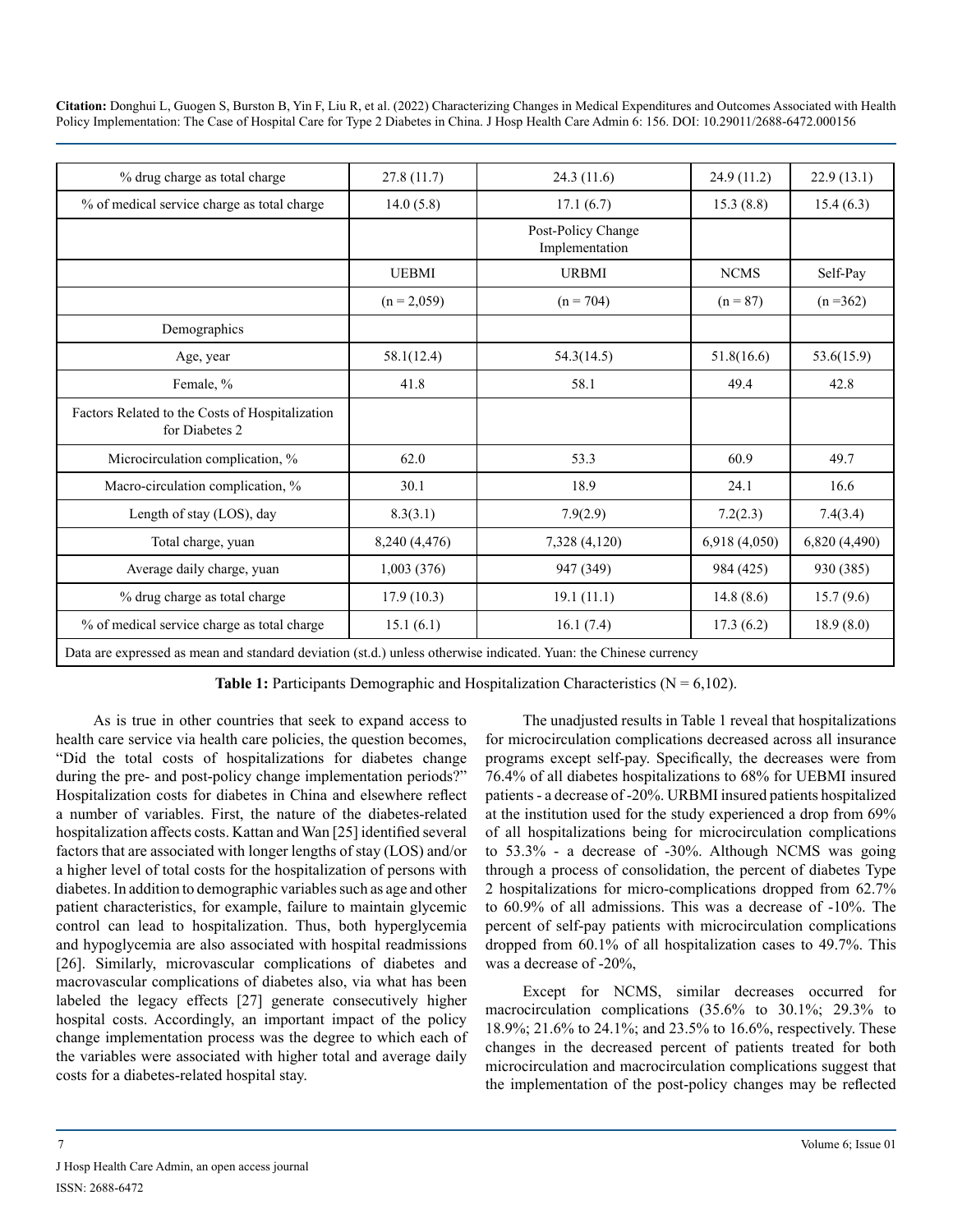| % drug charge as total charge                                                                                    | 27.8(11.7)    | 24.3 (11.6)                          | 24.9 (11.2)  | 22.9(13.1)    |
|------------------------------------------------------------------------------------------------------------------|---------------|--------------------------------------|--------------|---------------|
| % of medical service charge as total charge                                                                      | 14.0(5.8)     | 17.1(6.7)                            | 15.3(8.8)    | 15.4(6.3)     |
|                                                                                                                  |               | Post-Policy Change<br>Implementation |              |               |
|                                                                                                                  | <b>UEBMI</b>  | <b>URBMI</b>                         | <b>NCMS</b>  | Self-Pay      |
|                                                                                                                  | $(n = 2,059)$ | $(n = 704)$                          | $(n = 87)$   | $(n=362)$     |
| Demographics                                                                                                     |               |                                      |              |               |
| Age, year                                                                                                        | 58.1(12.4)    | 54.3(14.5)                           | 51.8(16.6)   | 53.6(15.9)    |
| Female, %                                                                                                        | 41.8          | 58.1                                 | 49.4         | 42.8          |
| Factors Related to the Costs of Hospitalization<br>for Diabetes 2                                                |               |                                      |              |               |
| Microcirculation complication, %                                                                                 | 62.0          | 53.3                                 | 60.9         | 49.7          |
| Macro-circulation complication, %                                                                                | 30.1          | 18.9                                 | 24.1         | 16.6          |
| Length of stay (LOS), day                                                                                        | 8.3(3.1)      | 7.9(2.9)                             | 7.2(2.3)     | 7.4(3.4)      |
| Total charge, yuan                                                                                               | 8,240 (4,476) | 7,328 (4,120)                        | 6,918(4,050) | 6,820 (4,490) |
| Average daily charge, yuan                                                                                       | 1,003(376)    | 947 (349)                            | 984 (425)    | 930 (385)     |
| % drug charge as total charge                                                                                    | 17.9(10.3)    | 19.1(11.1)                           | 14.8(8.6)    | 15.7(9.6)     |
| % of medical service charge as total charge                                                                      | 15.1(6.1)     | 16.1(7.4)                            | 17.3(6.2)    | 18.9(8.0)     |
| Data are expressed as mean and standard deviation (st.d.) unless otherwise indicated. Yuan: the Chinese currency |               |                                      |              |               |

**Table 1:** Participants Demographic and Hospitalization Characteristics ( $N = 6,102$ ).

As is true in other countries that seek to expand access to health care service via health care policies, the question becomes, "Did the total costs of hospitalizations for diabetes change during the pre- and post-policy change implementation periods?" Hospitalization costs for diabetes in China and elsewhere reflect a number of variables. First, the nature of the diabetes-related hospitalization affects costs. Kattan and Wan [25] identified several factors that are associated with longer lengths of stay (LOS) and/or a higher level of total costs for the hospitalization of persons with diabetes. In addition to demographic variables such as age and other patient characteristics, for example, failure to maintain glycemic control can lead to hospitalization. Thus, both hyperglycemia and hypoglycemia are also associated with hospital readmissions [26]. Similarly, microvascular complications of diabetes and macrovascular complications of diabetes also, via what has been labeled the legacy effects [27] generate consecutively higher hospital costs. Accordingly, an important impact of the policy change implementation process was the degree to which each of the variables were associated with higher total and average daily costs for a diabetes-related hospital stay.

The unadjusted results in Table 1 reveal that hospitalizations for microcirculation complications decreased across all insurance programs except self-pay. Specifically, the decreases were from 76.4% of all diabetes hospitalizations to 68% for UEBMI insured patients - a decrease of -20%. URBMI insured patients hospitalized at the institution used for the study experienced a drop from 69% of all hospitalizations being for microcirculation complications to 53.3% - a decrease of -30%. Although NCMS was going through a process of consolidation, the percent of diabetes Type 2 hospitalizations for micro-complications dropped from 62.7% to 60.9% of all admissions. This was a decrease of -10%. The percent of self-pay patients with microcirculation complications dropped from 60.1% of all hospitalization cases to 49.7%. This was a decrease of -20%,

Except for NCMS, similar decreases occurred for macrocirculation complications (35.6% to 30.1%; 29.3% to 18.9%; 21.6% to 24.1%; and 23.5% to 16.6%, respectively. These changes in the decreased percent of patients treated for both microcirculation and macrocirculation complications suggest that the implementation of the post-policy changes may be reflected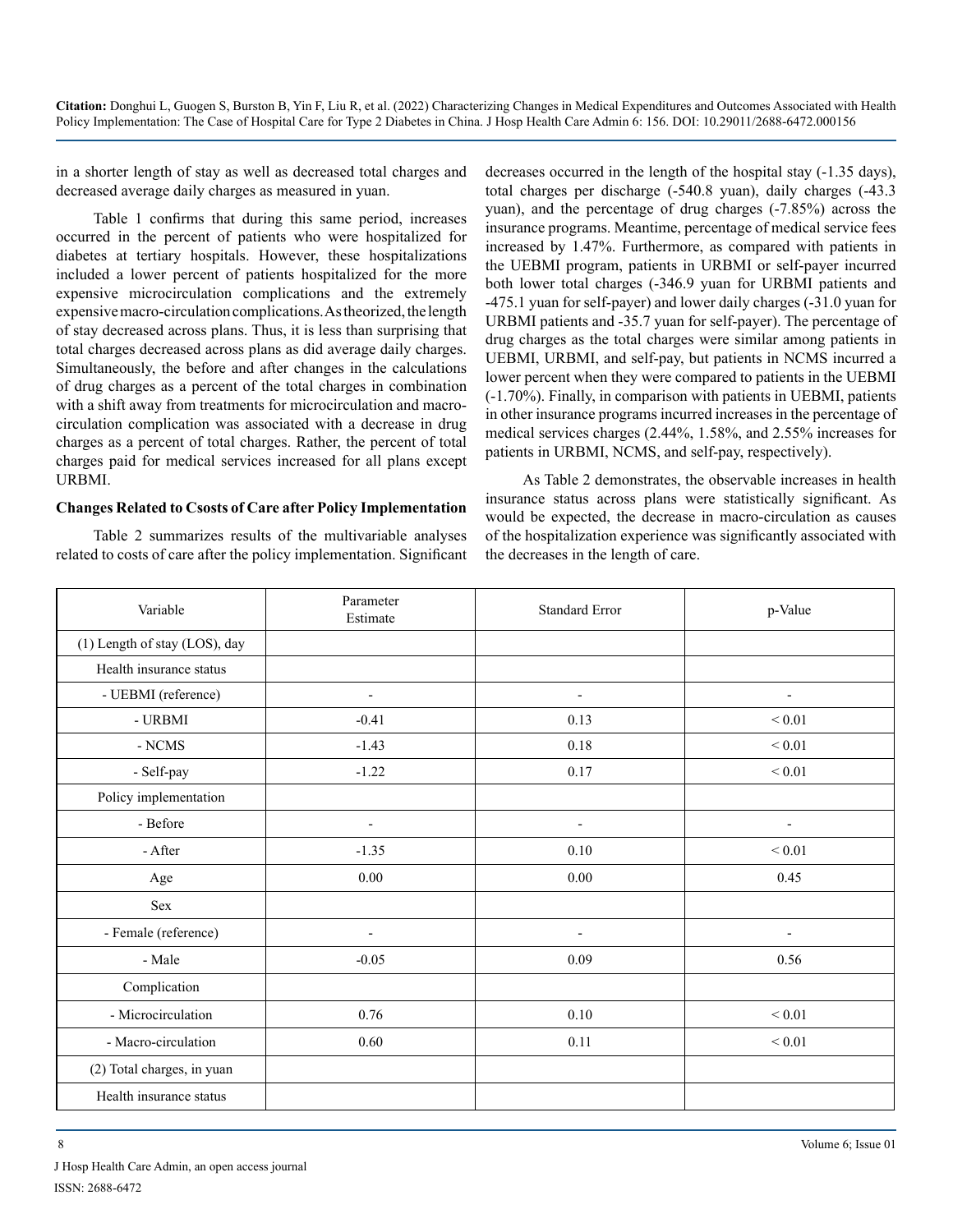in a shorter length of stay as well as decreased total charges and decreased average daily charges as measured in yuan.

Table 1 confirms that during this same period, increases occurred in the percent of patients who were hospitalized for diabetes at tertiary hospitals. However, these hospitalizations included a lower percent of patients hospitalized for the more expensive microcirculation complications and the extremely expensive macro-circulation complications. As theorized, the length of stay decreased across plans. Thus, it is less than surprising that total charges decreased across plans as did average daily charges. Simultaneously, the before and after changes in the calculations of drug charges as a percent of the total charges in combination with a shift away from treatments for microcirculation and macrocirculation complication was associated with a decrease in drug charges as a percent of total charges. Rather, the percent of total charges paid for medical services increased for all plans except URBMI.

#### **Changes Related to Csosts of Care after Policy Implementation**

Table 2 summarizes results of the multivariable analyses related to costs of care after the policy implementation. Significant decreases occurred in the length of the hospital stay (-1.35 days), total charges per discharge (-540.8 yuan), daily charges (-43.3 yuan), and the percentage of drug charges (-7.85%) across the insurance programs. Meantime, percentage of medical service fees increased by 1.47%. Furthermore, as compared with patients in the UEBMI program, patients in URBMI or self-payer incurred both lower total charges (-346.9 yuan for URBMI patients and -475.1 yuan for self-payer) and lower daily charges (-31.0 yuan for URBMI patients and -35.7 yuan for self-payer). The percentage of drug charges as the total charges were similar among patients in UEBMI, URBMI, and self-pay, but patients in NCMS incurred a lower percent when they were compared to patients in the UEBMI (-1.70%). Finally, in comparison with patients in UEBMI, patients in other insurance programs incurred increases in the percentage of medical services charges (2.44%, 1.58%, and 2.55% increases for patients in URBMI, NCMS, and self-pay, respectively).

As Table 2 demonstrates, the observable increases in health insurance status across plans were statistically significant. As would be expected, the decrease in macro-circulation as causes of the hospitalization experience was significantly associated with the decreases in the length of care.

| Variable                      | Parameter<br>Estimate    | <b>Standard Error</b>    | p-Value                  |
|-------------------------------|--------------------------|--------------------------|--------------------------|
| (1) Length of stay (LOS), day |                          |                          |                          |
| Health insurance status       |                          |                          |                          |
| - UEBMI (reference)           | $\overline{\phantom{a}}$ | $\blacksquare$           | $\overline{\phantom{a}}$ |
| - URBMI                       | $-0.41$                  | 0.13                     | ${}_{0.01}$              |
| $\mathbf{-NCMS}$              | $-1.43$                  | 0.18                     | $\leq 0.01$              |
| - Self-pay                    | $-1.22$                  | 0.17                     | ${}_{0.01}$              |
| Policy implementation         |                          |                          |                          |
| - Before                      | $\overline{\phantom{m}}$ | $\blacksquare$           | $\blacksquare$           |
| - After                       | $-1.35$                  | 0.10                     | $\leq 0.01$              |
| Age                           | $0.00\,$                 | 0.00                     | 0.45                     |
| Sex                           |                          |                          |                          |
| - Female (reference)          | $\overline{\phantom{a}}$ | $\overline{\phantom{0}}$ | $\blacksquare$           |
| - Male                        | $-0.05$                  | 0.09                     | 0.56                     |
| Complication                  |                          |                          |                          |
| - Microcirculation            | 0.76                     | 0.10                     | $< 0.01$                 |
| - Macro-circulation           | 0.60                     | 0.11                     | $< 0.01$                 |
| (2) Total charges, in yuan    |                          |                          |                          |
| Health insurance status       |                          |                          |                          |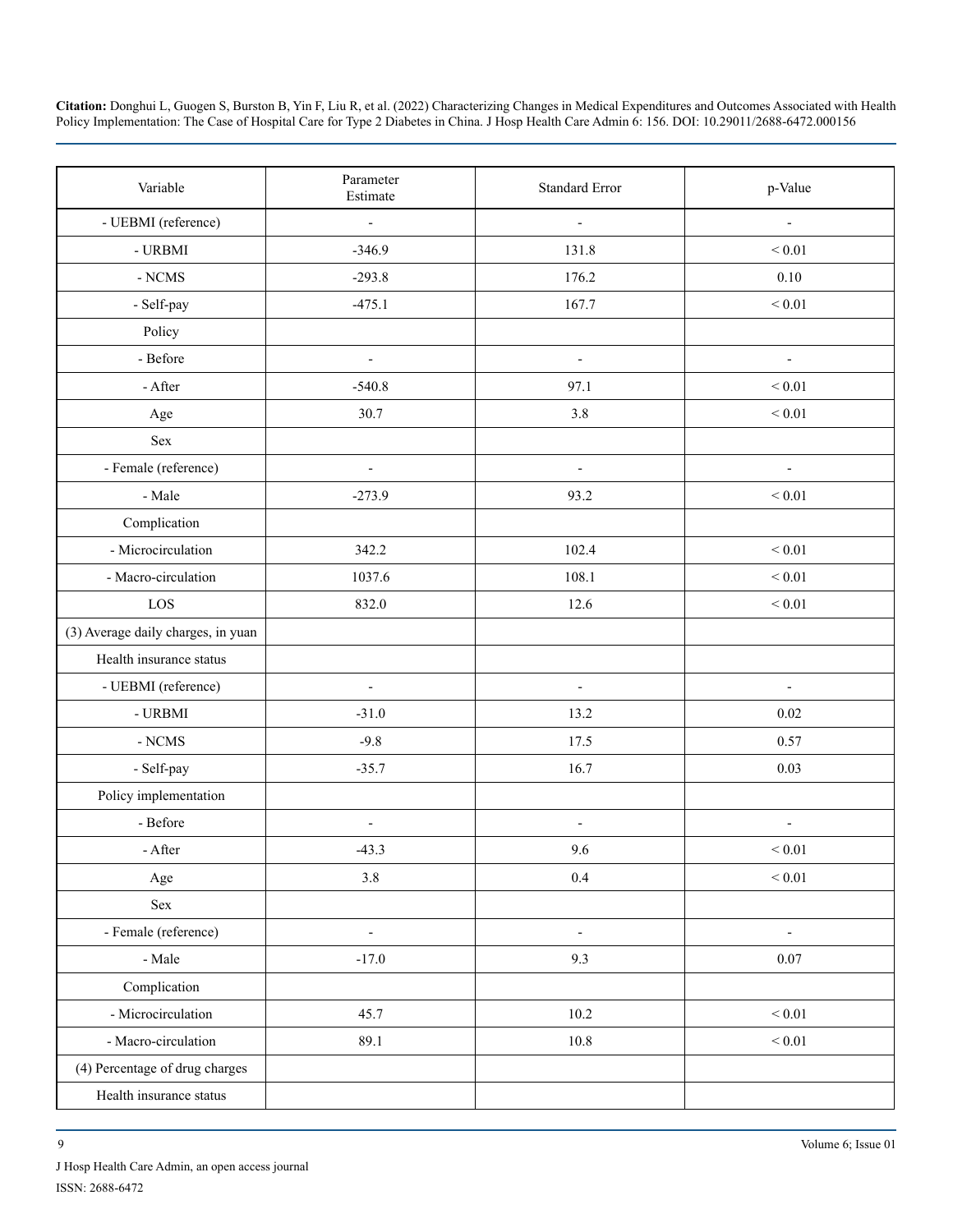| Variable                           | Parameter<br>Estimate    | <b>Standard Error</b>    | p-Value                  |
|------------------------------------|--------------------------|--------------------------|--------------------------|
| - UEBMI (reference)                | $\frac{1}{2}$            | $\overline{\phantom{a}}$ | $\overline{\phantom{a}}$ |
| $\mbox{-}$ URBMI                   | $-346.9$                 | 131.8                    | ${}_{0.01}$              |
| - NCMS                             | $-293.8$                 | 176.2                    | $0.10\,$                 |
| - Self-pay                         | $-475.1$                 | 167.7                    | ${}_{0.01}$              |
| Policy                             |                          |                          |                          |
| - Before                           | $\overline{\phantom{a}}$ | $\overline{\phantom{a}}$ | $\overline{\phantom{a}}$ |
| - After                            | $-540.8$                 | 97.1                     | ${}_{0.01}$              |
| Age                                | 30.7                     | 3.8                      | ${}_{0.01}$              |
| Sex                                |                          |                          |                          |
| - Female (reference)               | $\overline{\phantom{0}}$ | $\overline{\phantom{a}}$ | $\overline{\phantom{a}}$ |
| - Male                             | $-273.9$                 | 93.2                     | ${}_{0.01}$              |
| Complication                       |                          |                          |                          |
| - Microcirculation                 | 342.2                    | 102.4                    | ${}_{0.01}$              |
| - Macro-circulation                | 1037.6                   | 108.1                    | ${}_{0.01}$              |
| $_{\rm LOS}$                       | 832.0                    | 12.6                     | ${}_{0.01}$              |
| (3) Average daily charges, in yuan |                          |                          |                          |
| Health insurance status            |                          |                          |                          |
| - UEBMI (reference)                | $\overline{\phantom{a}}$ | $\overline{\phantom{a}}$ | $\overline{\phantom{a}}$ |
| $\mbox{-}$ URBMI                   | $-31.0$                  | 13.2                     | 0.02                     |
| $\mbox{-}\operatorname{NCMS}$      | $-9.8$                   | 17.5                     | 0.57                     |
| - Self-pay                         | $-35.7$                  | 16.7                     | 0.03                     |
| Policy implementation              |                          |                          |                          |
| - Before                           | ÷,                       | $\overline{\phantom{a}}$ | $\overline{a}$           |
| - After                            | $-43.3$                  | 9.6                      | ${}_{0.01}$              |
| Age                                | $3.8\,$                  | $0.4\,$                  | $\leq 0.01$              |
| Sex                                |                          |                          |                          |
| - Female (reference)               | $\frac{1}{2}$            | $\blacksquare$           | $\overline{\phantom{a}}$ |
| - Male                             | $-17.0$                  | 9.3                      | 0.07                     |
| Complication                       |                          |                          |                          |
| - Microcirculation                 | 45.7                     | $10.2\,$                 | $\leq 0.01$              |
| - Macro-circulation                | 89.1                     | $10.8\,$                 | $\leq 0.01$              |
| (4) Percentage of drug charges     |                          |                          |                          |
| Health insurance status            |                          |                          |                          |

J Hosp Health Care Admin, an open access journal ISSN: 2688-6472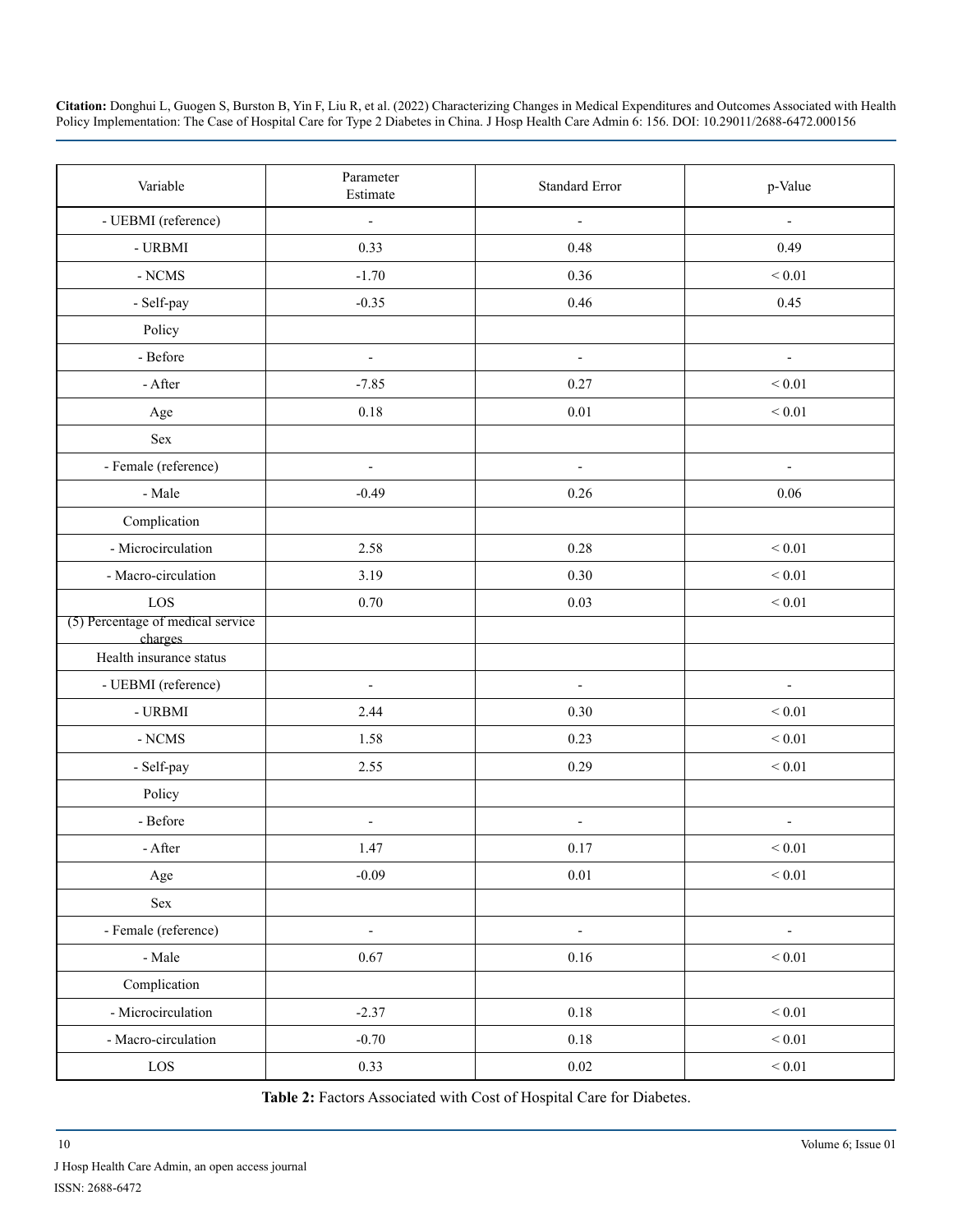| Variable                                     | Parameter                | <b>Standard Error</b>    | p-Value                  |
|----------------------------------------------|--------------------------|--------------------------|--------------------------|
|                                              | Estimate                 |                          |                          |
| - UEBMI (reference)                          | ÷,                       | $\blacksquare$           | $\frac{1}{2}$            |
| - URBMI                                      | 0.33                     | 0.48                     | 0.49                     |
| $\mbox{-}$ NCMS                              | $-1.70$                  | 0.36                     | ${}_{0.01}$              |
| - Self-pay                                   | $-0.35$                  | 0.46                     | 0.45                     |
| Policy                                       |                          |                          |                          |
| - Before                                     | $\blacksquare$           | $\overline{\phantom{a}}$ | $\overline{\phantom{0}}$ |
| - After                                      | $-7.85$                  | 0.27                     | ${}_{0.01}$              |
| Age                                          | $0.18\,$                 | $0.01\,$                 | ${}_{0.01}$              |
| Sex                                          |                          |                          |                          |
| - Female (reference)                         | $\overline{\phantom{a}}$ | $\blacksquare$           | $\overline{\phantom{a}}$ |
| - Male                                       | $-0.49$                  | 0.26                     | 0.06                     |
| Complication                                 |                          |                          |                          |
| - Microcirculation                           | 2.58                     | 0.28                     | ${}_{0.01}$              |
| - Macro-circulation                          | 3.19                     | 0.30                     | ${}_{0.01}$              |
| LOS                                          | 0.70                     | 0.03                     | ${}_{0.01}$              |
| (5) Percentage of medical service<br>charges |                          |                          |                          |
| Health insurance status                      |                          |                          |                          |
| - UEBMI (reference)                          | $\overline{\phantom{a}}$ | $\overline{\phantom{a}}$ | $\overline{\phantom{a}}$ |
| - URBMI                                      | 2.44                     | 0.30                     | ${}_{0.01}$              |
| $\mbox{-}\operatorname{NCMS}$                | 1.58                     | 0.23                     | ${}_{0.01}$              |
| - Self-pay                                   | 2.55                     | 0.29                     | ${}_{0.01}$              |
| Policy                                       |                          |                          |                          |
| - Before                                     | $\overline{a}$           | $\overline{\phantom{a}}$ |                          |
| - After                                      | 1.47                     | 0.17                     | ${}_{0.01}$              |
| Age                                          | $-0.09$                  | $0.01\,$                 | $\leq 0.01$              |
| $\operatorname{Sex}$                         |                          |                          |                          |
| - Female (reference)                         | $\frac{1}{2}$            | $\overline{\phantom{a}}$ | $\overline{\phantom{0}}$ |
| - Male                                       | 0.67                     | $0.16\,$                 | $< 0.01$                 |
| Complication                                 |                          |                          |                          |
| - Microcirculation                           | $-2.37$                  | 0.18                     | ${}_{0.01}$              |
| - Macro-circulation                          | $-0.70$                  | $0.18\,$                 | $\leq 0.01$              |
| $_{\rm LOS}$                                 | 0.33                     | $0.02\,$                 | $\leq 0.01$              |

Table 2: Factors Associated with Cost of Hospital Care for Diabetes.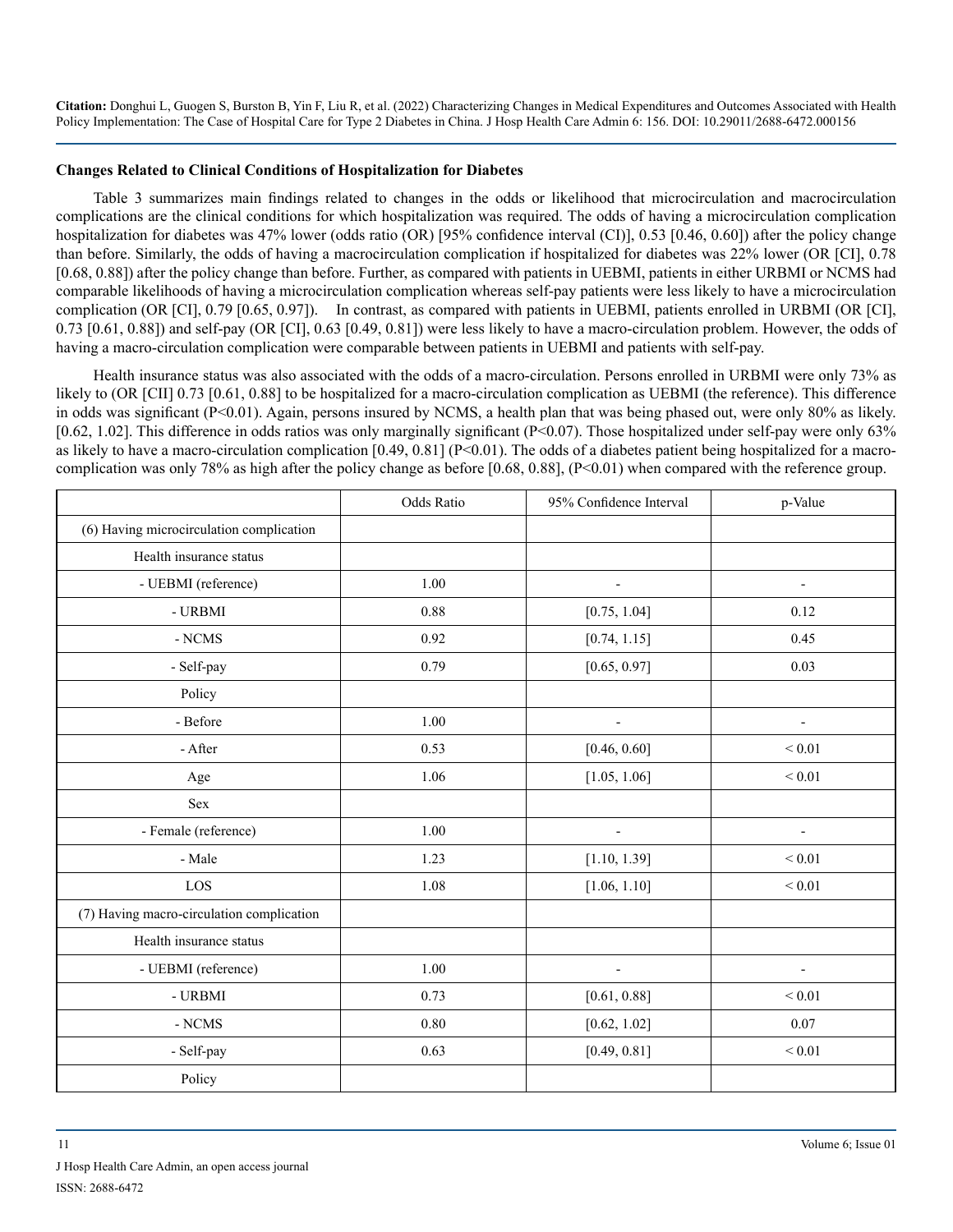#### **Changes Related to Clinical Conditions of Hospitalization for Diabetes**

Table 3 summarizes main findings related to changes in the odds or likelihood that microcirculation and macrocirculation complications are the clinical conditions for which hospitalization was required. The odds of having a microcirculation complication hospitalization for diabetes was 47% lower (odds ratio (OR) [95% confidence interval (CI)], 0.53 [0.46, 0.60]) after the policy change than before. Similarly, the odds of having a macrocirculation complication if hospitalized for diabetes was 22% lower (OR [CI], 0.78 [0.68, 0.88]) after the policy change than before. Further, as compared with patients in UEBMI, patients in either URBMI or NCMS had comparable likelihoods of having a microcirculation complication whereas self-pay patients were less likely to have a microcirculation complication (OR [CI], 0.79 [0.65, 0.97]). In contrast, as compared with patients in UEBMI, patients enrolled in URBMI (OR [CI], 0.73 [0.61, 0.88]) and self-pay (OR [CI], 0.63 [0.49, 0.81]) were less likely to have a macro-circulation problem. However, the odds of having a macro-circulation complication were comparable between patients in UEBMI and patients with self-pay.

Health insurance status was also associated with the odds of a macro-circulation. Persons enrolled in URBMI were only 73% as likely to (OR [CII] 0.73 [0.61, 0.88] to be hospitalized for a macro-circulation complication as UEBMI (the reference). This difference in odds was significant (P<0.01). Again, persons insured by NCMS, a health plan that was being phased out, were only 80% as likely. [0.62, 1.02]. This difference in odds ratios was only marginally significant (P<0.07). Those hospitalized under self-pay were only 63% as likely to have a macro-circulation complication  $[0.49, 0.81]$  (P<0.01). The odds of a diabetes patient being hospitalized for a macrocomplication was only 78% as high after the policy change as before [0.68, 0.88], (P<0.01) when compared with the reference group.

|                                           | Odds Ratio | 95% Confidence Interval      | p-Value                  |
|-------------------------------------------|------------|------------------------------|--------------------------|
| (6) Having microcirculation complication  |            |                              |                          |
| Health insurance status                   |            |                              |                          |
| - UEBMI (reference)                       | 1.00       | $\overline{\phantom{0}}$     | $\overline{\phantom{a}}$ |
| - URBMI                                   | 0.88       | [0.75, 1.04]                 | 0.12                     |
| $\mbox{-}\operatorname{NCMS}$             | 0.92       | [0.74, 1.15]                 | 0.45                     |
| - Self-pay                                | 0.79       | [0.65, 0.97]                 | 0.03                     |
| Policy                                    |            |                              |                          |
| - Before                                  | 1.00       | $\overline{\phantom{a}}$     | $\blacksquare$           |
| - After                                   | 0.53       | [0.46, 0.60]                 | ${}_{0.01}$              |
| Age                                       | 1.06       | [1.05, 1.06]                 | ${}_{0.01}$              |
| Sex                                       |            |                              |                          |
| - Female (reference)                      | 1.00       | $\qquad \qquad \blacksquare$ | $\overline{\phantom{a}}$ |
| - Male                                    | 1.23       | [1.10, 1.39]                 | ${}_{0.01}$              |
| LOS                                       | 1.08       | [1.06, 1.10]                 | ${}_{0.01}$              |
| (7) Having macro-circulation complication |            |                              |                          |
| Health insurance status                   |            |                              |                          |
| - UEBMI (reference)                       | 1.00       | ÷,                           | $\overline{a}$           |
| - URBMI                                   | 0.73       | [0.61, 0.88]                 | $< 0.01$                 |
| - NCMS                                    | 0.80       | [0.62, 1.02]                 | 0.07                     |
| - Self-pay                                | 0.63       | [0.49, 0.81]                 | ${}_{0.01}$              |
| Policy                                    |            |                              |                          |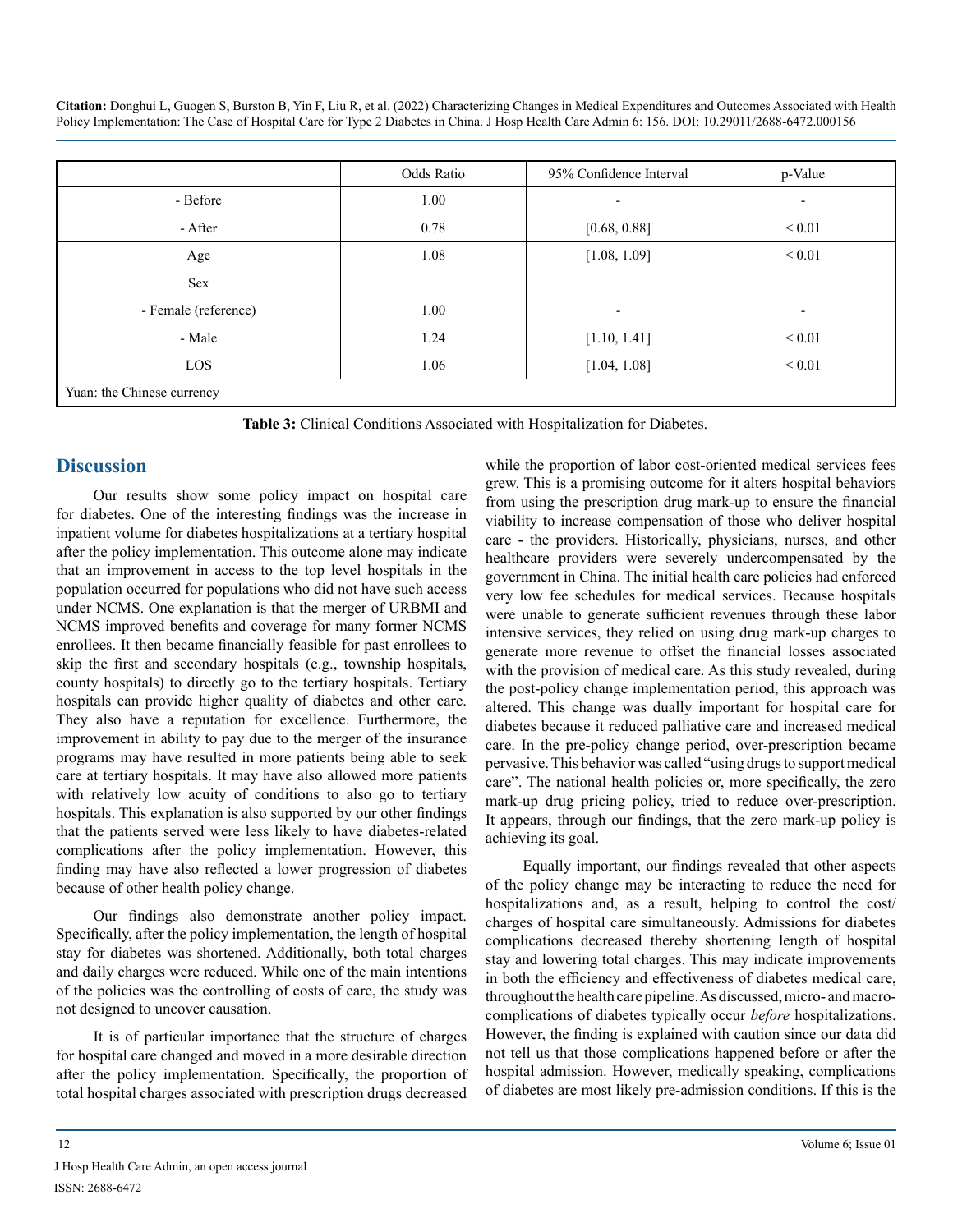|                            | Odds Ratio | 95% Confidence Interval | p-Value                  |
|----------------------------|------------|-------------------------|--------------------------|
| - Before                   | 1.00       | Ξ.                      | $\overline{\phantom{a}}$ |
| - After                    | 0.78       | [0.68, 0.88]            | ${}< 0.01$               |
| Age                        | 1.08       | [1.08, 1.09]            | ${}_{0.01}$              |
| Sex                        |            |                         |                          |
| - Female (reference)       | 1.00       |                         | $\overline{\phantom{a}}$ |
| - Male                     | 1.24       | [1.10, 1.41]            | ${}_{0.01}$              |
| LOS                        | 1.06       | [1.04, 1.08]            | $\leq 0.01$              |
| Yuan: the Chinese currency |            |                         |                          |

**Table 3:** Clinical Conditions Associated with Hospitalization for Diabetes.

# **Discussion**

Our results show some policy impact on hospital care for diabetes. One of the interesting findings was the increase in inpatient volume for diabetes hospitalizations at a tertiary hospital after the policy implementation. This outcome alone may indicate that an improvement in access to the top level hospitals in the population occurred for populations who did not have such access under NCMS. One explanation is that the merger of URBMI and NCMS improved benefits and coverage for many former NCMS enrollees. It then became financially feasible for past enrollees to skip the first and secondary hospitals (e.g., township hospitals, county hospitals) to directly go to the tertiary hospitals. Tertiary hospitals can provide higher quality of diabetes and other care. They also have a reputation for excellence. Furthermore, the improvement in ability to pay due to the merger of the insurance programs may have resulted in more patients being able to seek care at tertiary hospitals. It may have also allowed more patients with relatively low acuity of conditions to also go to tertiary hospitals. This explanation is also supported by our other findings that the patients served were less likely to have diabetes-related complications after the policy implementation. However, this finding may have also reflected a lower progression of diabetes because of other health policy change.

Our findings also demonstrate another policy impact. Specifically, after the policy implementation, the length of hospital stay for diabetes was shortened. Additionally, both total charges and daily charges were reduced. While one of the main intentions of the policies was the controlling of costs of care, the study was not designed to uncover causation.

It is of particular importance that the structure of charges for hospital care changed and moved in a more desirable direction after the policy implementation. Specifically, the proportion of total hospital charges associated with prescription drugs decreased

while the proportion of labor cost-oriented medical services fees grew. This is a promising outcome for it alters hospital behaviors from using the prescription drug mark-up to ensure the financial viability to increase compensation of those who deliver hospital care - the providers. Historically, physicians, nurses, and other healthcare providers were severely undercompensated by the government in China. The initial health care policies had enforced very low fee schedules for medical services. Because hospitals were unable to generate sufficient revenues through these labor intensive services, they relied on using drug mark-up charges to generate more revenue to offset the financial losses associated with the provision of medical care. As this study revealed, during the post-policy change implementation period, this approach was altered. This change was dually important for hospital care for diabetes because it reduced palliative care and increased medical care. In the pre-policy change period, over-prescription became pervasive. This behavior was called "using drugs to support medical care". The national health policies or, more specifically, the zero mark-up drug pricing policy, tried to reduce over-prescription. It appears, through our findings, that the zero mark-up policy is achieving its goal.

Equally important, our findings revealed that other aspects of the policy change may be interacting to reduce the need for hospitalizations and, as a result, helping to control the cost/ charges of hospital care simultaneously. Admissions for diabetes complications decreased thereby shortening length of hospital stay and lowering total charges. This may indicate improvements in both the efficiency and effectiveness of diabetes medical care, throughout the health care pipeline. As discussed, micro- and macrocomplications of diabetes typically occur *before* hospitalizations. However, the finding is explained with caution since our data did not tell us that those complications happened before or after the hospital admission. However, medically speaking, complications of diabetes are most likely pre-admission conditions. If this is the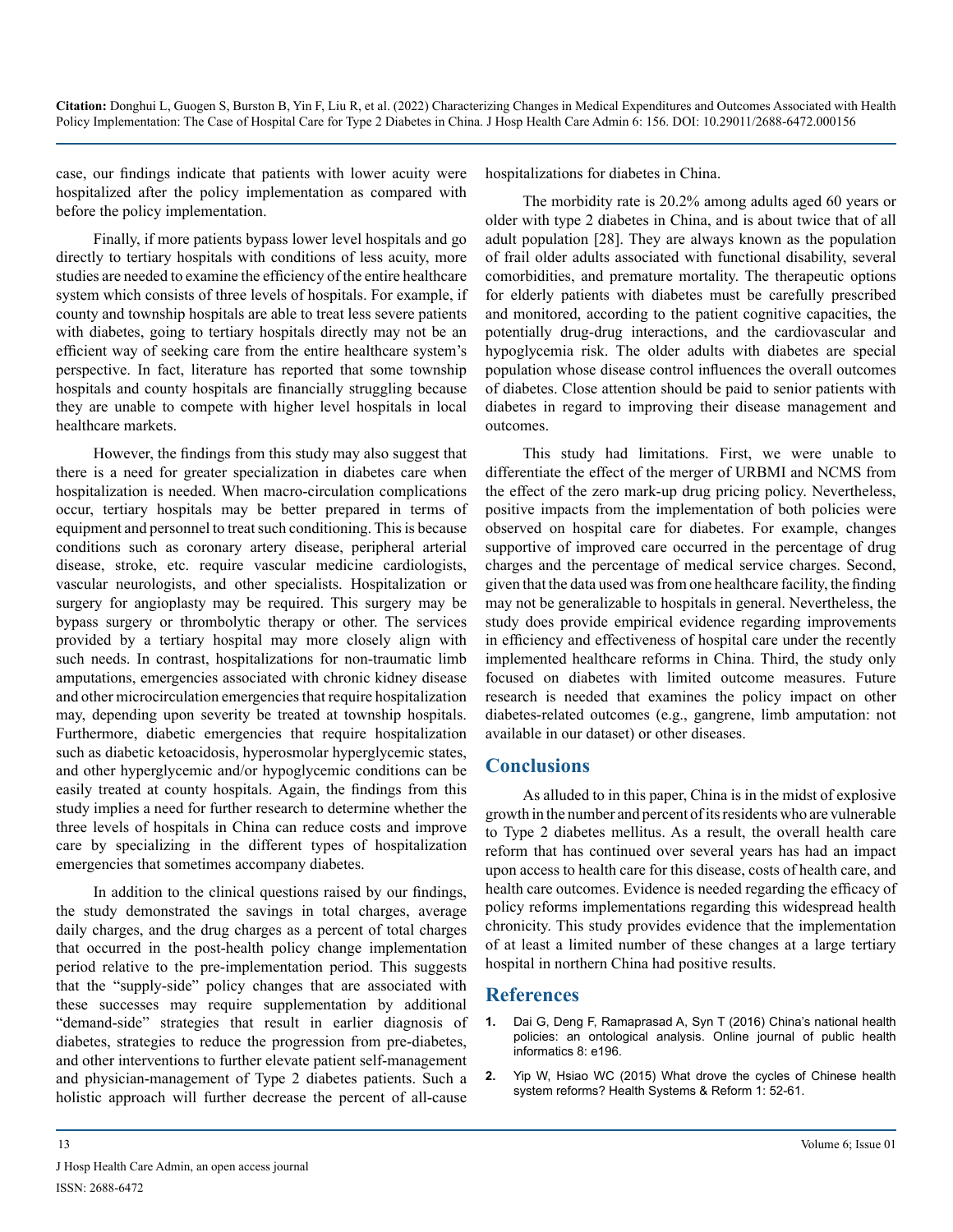case, our findings indicate that patients with lower acuity were hospitalized after the policy implementation as compared with before the policy implementation.

Finally, if more patients bypass lower level hospitals and go directly to tertiary hospitals with conditions of less acuity, more studies are needed to examine the efficiency of the entire healthcare system which consists of three levels of hospitals. For example, if county and township hospitals are able to treat less severe patients with diabetes, going to tertiary hospitals directly may not be an efficient way of seeking care from the entire healthcare system's perspective. In fact, literature has reported that some township hospitals and county hospitals are financially struggling because they are unable to compete with higher level hospitals in local healthcare markets.

However, the findings from this study may also suggest that there is a need for greater specialization in diabetes care when hospitalization is needed. When macro-circulation complications occur, tertiary hospitals may be better prepared in terms of equipment and personnel to treat such conditioning. This is because conditions such as coronary artery disease, peripheral arterial disease, stroke, etc. require vascular medicine cardiologists, vascular neurologists, and other specialists. Hospitalization or surgery for angioplasty may be required. This surgery may be bypass surgery or thrombolytic therapy or other. The services provided by a tertiary hospital may more closely align with such needs. In contrast, hospitalizations for non-traumatic limb amputations, emergencies associated with chronic kidney disease and other microcirculation emergencies that require hospitalization may, depending upon severity be treated at township hospitals. Furthermore, diabetic emergencies that require hospitalization such as diabetic ketoacidosis, hyperosmolar hyperglycemic states, and other hyperglycemic and/or hypoglycemic conditions can be easily treated at county hospitals. Again, the findings from this study implies a need for further research to determine whether the three levels of hospitals in China can reduce costs and improve care by specializing in the different types of hospitalization emergencies that sometimes accompany diabetes.

In addition to the clinical questions raised by our findings, the study demonstrated the savings in total charges, average daily charges, and the drug charges as a percent of total charges that occurred in the post-health policy change implementation period relative to the pre-implementation period. This suggests that the "supply-side" policy changes that are associated with these successes may require supplementation by additional "demand-side" strategies that result in earlier diagnosis of diabetes, strategies to reduce the progression from pre-diabetes, and other interventions to further elevate patient self-management and physician-management of Type 2 diabetes patients. Such a holistic approach will further decrease the percent of all-cause

hospitalizations for diabetes in China.

The morbidity rate is 20.2% among adults aged 60 years or older with type 2 diabetes in China, and is about twice that of all adult population [28]. They are always known as the population of frail older adults associated with functional disability, several comorbidities, and premature mortality. The therapeutic options for elderly patients with diabetes must be carefully prescribed and monitored, according to the patient cognitive capacities, the potentially drug-drug interactions, and the cardiovascular and hypoglycemia risk. The older adults with diabetes are special population whose disease control influences the overall outcomes of diabetes. Close attention should be paid to senior patients with diabetes in regard to improving their disease management and outcomes.

This study had limitations. First, we were unable to differentiate the effect of the merger of URBMI and NCMS from the effect of the zero mark-up drug pricing policy. Nevertheless, positive impacts from the implementation of both policies were observed on hospital care for diabetes. For example, changes supportive of improved care occurred in the percentage of drug charges and the percentage of medical service charges. Second, given that the data used was from one healthcare facility, the finding may not be generalizable to hospitals in general. Nevertheless, the study does provide empirical evidence regarding improvements in efficiency and effectiveness of hospital care under the recently implemented healthcare reforms in China. Third, the study only focused on diabetes with limited outcome measures. Future research is needed that examines the policy impact on other diabetes-related outcomes (e.g., gangrene, limb amputation: not available in our dataset) or other diseases.

# **Conclusions**

As alluded to in this paper, China is in the midst of explosive growth in the number and percent of its residents who are vulnerable to Type 2 diabetes mellitus. As a result, the overall health care reform that has continued over several years has had an impact upon access to health care for this disease, costs of health care, and health care outcomes. Evidence is needed regarding the efficacy of policy reforms implementations regarding this widespread health chronicity. This study provides evidence that the implementation of at least a limited number of these changes at a large tertiary hospital in northern China had positive results.

# **References**

- **1.** [Dai G, Deng F, Ramaprasad A, Syn T \(2016\) China's national health](https://www.ncbi.nlm.nih.gov/pmc/articles/PMC5302471/)  [policies: an ontological analysis. Online journal of public health](https://www.ncbi.nlm.nih.gov/pmc/articles/PMC5302471/)  [informatics 8: e196.](https://www.ncbi.nlm.nih.gov/pmc/articles/PMC5302471/)
- **2.** [Yip W, Hsiao WC \(2015\) What drove the cycles of Chinese health](https://www.tandfonline.com/doi/full/10.4161/23288604.2014.995005)  [system reforms? Health Systems & Reform 1: 52-61.](https://www.tandfonline.com/doi/full/10.4161/23288604.2014.995005)